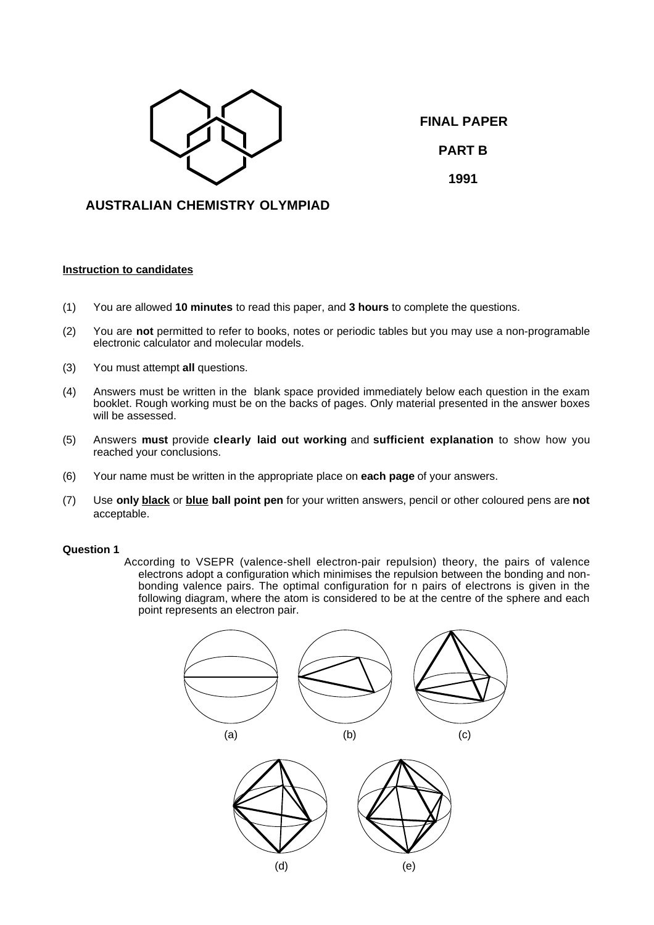

**FINAL PAPER PART B**

**1991**

# **AUSTRALIAN CHEMISTRY OLYMPIAD**

# **Instruction to candidates**

- (1) You are allowed **10 minutes** to read this paper, and **3 hours** to complete the questions.
- (2) You are **not** permitted to refer to books, notes or periodic tables but you may use a non-programable electronic calculator and molecular models.
- (3) You must attempt **all** questions.
- (4) Answers must be written in the blank space provided immediately below each question in the exam booklet. Rough working must be on the backs of pages. Only material presented in the answer boxes will be assessed.
- (5) Answers **must** provide **clearly laid out working** and **sufficient explanation** to show how you reached your conclusions.
- (6) Your name must be written in the appropriate place on **each page** of your answers.
- (7) Use **only black** or **blue ball point pen** for your written answers, pencil or other coloured pens are **not** acceptable.

## **Question 1**

According to VSEPR (valence-shell electron-pair repulsion) theory, the pairs of valence electrons adopt a configuration which minimises the repulsion between the bonding and nonbonding valence pairs. The optimal configuration for n pairs of electrons is given in the following diagram, where the atom is considered to be at the centre of the sphere and each point represents an electron pair.

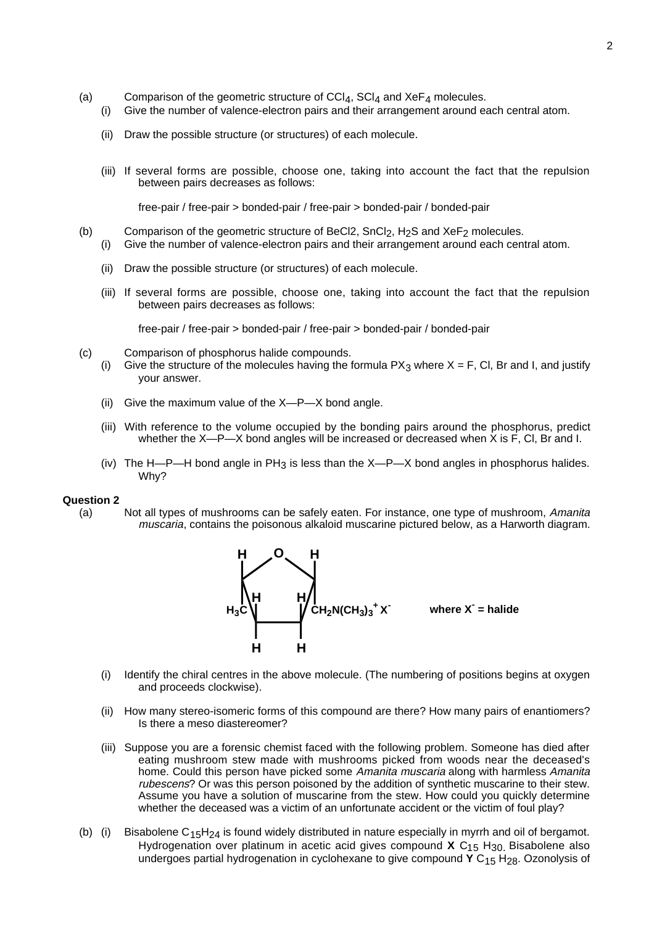- (a) Comparison of the geometric structure of  $\text{CCI}_4$ ,  $\text{SCI}_4$  and  $\text{XeF}_4$  molecules.
	- (i) Give the number of valence-electron pairs and their arrangement around each central atom.
	- (ii) Draw the possible structure (or structures) of each molecule.
	- (iii) If several forms are possible, choose one, taking into account the fact that the repulsion between pairs decreases as follows:

free-pair / free-pair > bonded-pair / free-pair > bonded-pair / bonded-pair

- (b) Comparison of the geometric structure of BeCl2,  $SnCl<sub>2</sub>$ , H<sub>2</sub>S and XeF<sub>2</sub> molecules. (i) Give the number of valence-electron pairs and their arrangement around each central atom.
	- (ii) Draw the possible structure (or structures) of each molecule.
	- (iii) If several forms are possible, choose one, taking into account the fact that the repulsion between pairs decreases as follows:

free-pair / free-pair > bonded-pair / free-pair > bonded-pair / bonded-pair

- (c) Comparison of phosphorus halide compounds.
	- (i) Give the structure of the molecules having the formula  $PX_3$  where  $X = F$ , Cl, Br and I, and justify your answer.
	- (ii) Give the maximum value of the X—P—X bond angle.
	- (iii) With reference to the volume occupied by the bonding pairs around the phosphorus, predict whether the X—P—X bond angles will be increased or decreased when X is F, Cl, Br and I.
	- (iv) The H—P—H bond angle in PH<sub>3</sub> is less than the X—P—X bond angles in phosphorus halides. Why?

## **Question 2**

(a) Not all types of mushrooms can be safely eaten. For instance, one type of mushroom, Amanita muscaria, contains the poisonous alkaloid muscarine pictured below, as a Harworth diagram.



- (i) Identify the chiral centres in the above molecule. (The numbering of positions begins at oxygen and proceeds clockwise).
- (ii) How many stereo-isomeric forms of this compound are there? How many pairs of enantiomers? Is there a meso diastereomer?
- (iii) Suppose you are a forensic chemist faced with the following problem. Someone has died after eating mushroom stew made with mushrooms picked from woods near the deceased's home. Could this person have picked some Amanita muscaria along with harmless Amanita rubescens? Or was this person poisoned by the addition of synthetic muscarine to their stew. Assume you have a solution of muscarine from the stew. How could you quickly determine whether the deceased was a victim of an unfortunate accident or the victim of foul play?
- (b) (i) Bisabolene C<sub>15</sub>H<sub>24</sub> is found widely distributed in nature especially in myrrh and oil of bergamot. Hydrogenation over platinum in acetic acid gives compound X C<sub>15</sub> H<sub>30</sub>. Bisabolene also undergoes partial hydrogenation in cyclohexane to give compound **Y** C15 H28. Ozonolysis of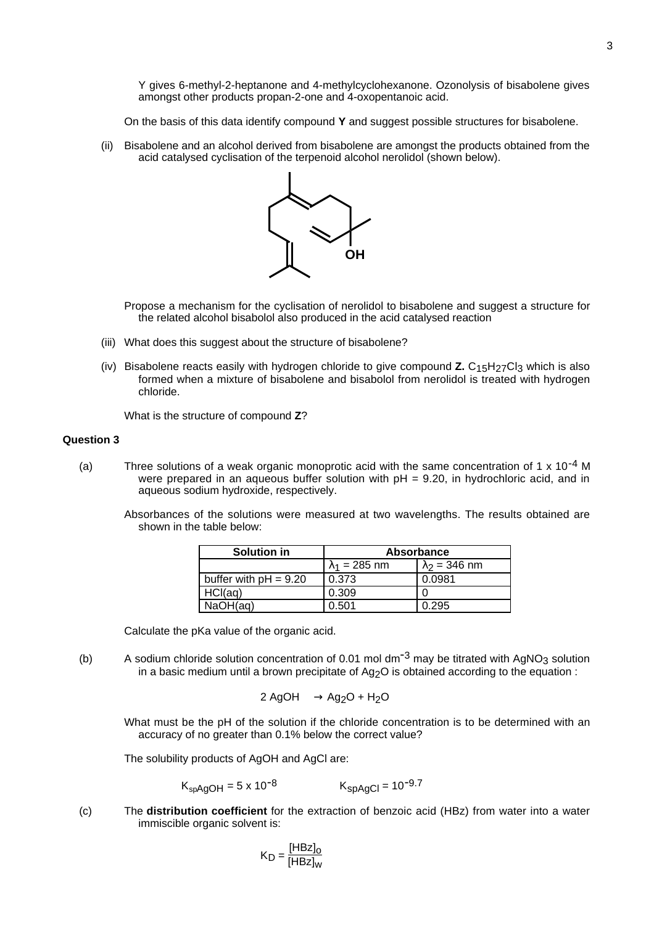Y gives 6-methyl-2-heptanone and 4-methylcyclohexanone. Ozonolysis of bisabolene gives amongst other products propan-2-one and 4-oxopentanoic acid.

On the basis of this data identify compound **Y** and suggest possible structures for bisabolene.

(ii) Bisabolene and an alcohol derived from bisabolene are amongst the products obtained from the acid catalysed cyclisation of the terpenoid alcohol nerolidol (shown below).



Propose a mechanism for the cyclisation of nerolidol to bisabolene and suggest a structure for the related alcohol bisabolol also produced in the acid catalysed reaction

- (iii) What does this suggest about the structure of bisabolene?
- (iv) Bisabolene reacts easily with hydrogen chloride to give compound **Z.** C15H27Cl3 which is also formed when a mixture of bisabolene and bisabolol from nerolidol is treated with hydrogen chloride.

What is the structure of compound **Z**?

## **Question 3**

(a) Three solutions of a weak organic monoprotic acid with the same concentration of 1 x 10<sup>-4</sup> M were prepared in an aqueous buffer solution with  $pH = 9.20$ , in hydrochloric acid, and in aqueous sodium hydroxide, respectively.

Absorbances of the solutions were measured at two wavelengths. The results obtained are shown in the table below:

| Solution in             | <b>Absorbance</b>    |                      |  |
|-------------------------|----------------------|----------------------|--|
|                         | $\lambda_1 = 285$ nm | $\lambda_2$ = 346 nm |  |
| buffer with $pH = 9.20$ | 0.373                | 0.0981               |  |
| HCI(aq)                 | 0.309                |                      |  |
| NaOH(aq)                | 0.501                | 0.295                |  |

Calculate the pKa value of the organic acid.

(b) A sodium chloride solution concentration of 0.01 mol dm<sup>-3</sup> may be titrated with AgNO<sub>3</sub> solution in a basic medium until a brown precipitate of  $Aq<sub>2</sub>O$  is obtained according to the equation :

$$
2 \text{ AgOH} \longrightarrow \text{Ag}_2\text{O} + \text{H}_2\text{O}
$$

What must be the pH of the solution if the chloride concentration is to be determined with an accuracy of no greater than 0.1% below the correct value?

The solubility products of AgOH and AgCl are:

$$
K_{spAgOH} = 5 \times 10^{-8}
$$
  $K_{spAgCl} = 10^{-9.7}$ 

(c) The **distribution coefficient** for the extraction of benzoic acid (HBz) from water into a water immiscible organic solvent is:

$$
K_{D} = \frac{[H B z]_{o}}{[H B z]_{w}}
$$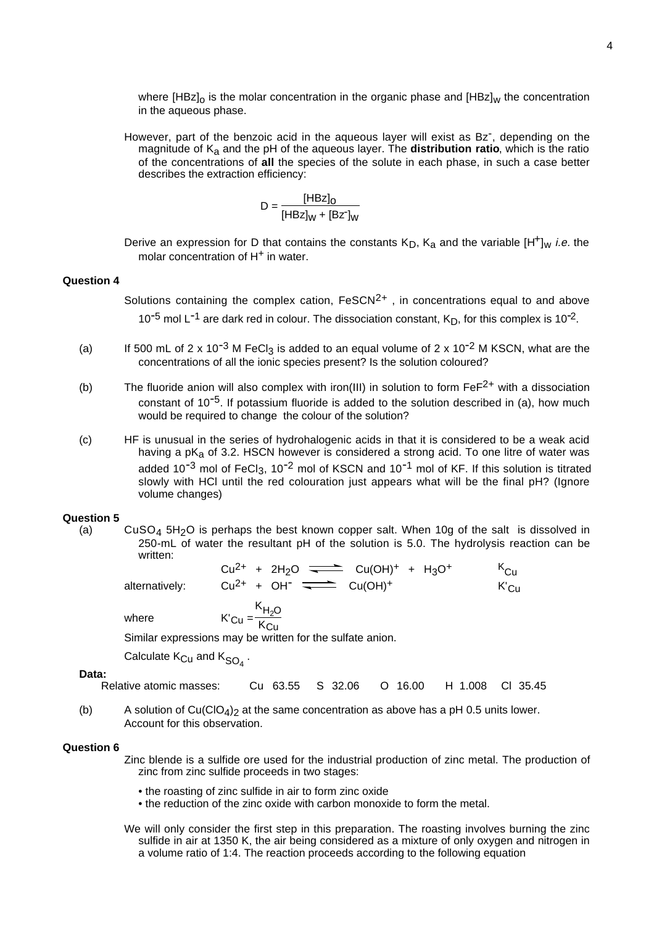where  $[{\rm HBz}]_0$  is the molar concentration in the organic phase and  $[{\rm HBz}]_w$  the concentration in the aqueous phase.

However, part of the benzoic acid in the aqueous layer will exist as Bz<sup>-</sup>, depending on the magnitude of Ka and the pH of the aqueous layer. The **distribution ratio**, which is the ratio of the concentrations of **all** the species of the solute in each phase, in such a case better describes the extraction efficiency:

$$
D = \frac{[HBz]_0}{[HBz]_W + [Bz]_W}
$$

Derive an expression for D that contains the constants  $K_D$ ,  $K_A$  and the variable  $[H^+]_w$  *i.e.* the molar concentration of H<sup>+</sup> in water.

#### **Question 4**

Solutions containing the complex cation,  $F \in \text{SCN}^{2+}$ , in concentrations equal to and above 10<sup>-5</sup> mol L<sup>-1</sup> are dark red in colour. The dissociation constant,  $K_D$ , for this complex is 10<sup>-2</sup>.

- (a) If 500 mL of 2 x 10<sup>-3</sup> M FeCl<sub>3</sub> is added to an equal volume of 2 x 10<sup>-2</sup> M KSCN, what are the concentrations of all the ionic species present? Is the solution coloured?
- (b) The fluoride anion will also complex with iron(III) in solution to form  $FeF<sup>2+</sup>$  with a dissociation constant of  $10^{-5}$ . If potassium fluoride is added to the solution described in (a), how much would be required to change the colour of the solution?
- (c) HF is unusual in the series of hydrohalogenic acids in that it is considered to be a weak acid having a  $pK<sub>a</sub>$  of 3.2. HSCN however is considered a strong acid. To one litre of water was added  $10^{-3}$  mol of FeCl<sub>3</sub>,  $10^{-2}$  mol of KSCN and  $10^{-1}$  mol of KF. If this solution is titrated slowly with HCl until the red colouration just appears what will be the final pH? (Ignore volume changes)

## **Question 5**

(a) CuSO<sub>4</sub> 5H<sub>2</sub>O is perhaps the best known copper salt. When 10g of the salt is dissolved in 250-mL of water the resultant pH of the solution is 5.0. The hydrolysis reaction can be written:

| alternatively: | $Cu^{2+}$ + 2H <sub>2</sub> O $\overline{\phantom{}}$ Cu(OH) <sup>+</sup> + H <sub>3</sub> O <sup>+</sup><br>$Cu^{2+} + OH^{-} \implies Cu(OH)^{+}$ | $K_{\text{Cu}}$<br>$K_{\rm Cu}$ |
|----------------|-----------------------------------------------------------------------------------------------------------------------------------------------------|---------------------------------|
|                |                                                                                                                                                     |                                 |
| where          | $KCu = \frac{K_{H2O}}{K_{Cu}}$                                                                                                                      |                                 |

Similar expressions may be written for the sulfate anion.

Calculate  $\mathsf{K}_{\mathsf{C}\mathsf{u}}$  and  $\mathsf{K}_{\mathsf{SO}_4}$  .

#### **Data:**

```
Relative atomic masses: Cu 63.55 S 32.06 O 16.00 H 1.008 Cl 35.45
```
(b) A solution of Cu(ClO<sub>4</sub>)<sub>2</sub> at the same concentration as above has a pH 0.5 units lower. Account for this observation.

## **Question 6**

Zinc blende is a sulfide ore used for the industrial production of zinc metal. The production of zinc from zinc sulfide proceeds in two stages:

- the roasting of zinc sulfide in air to form zinc oxide
- the reduction of the zinc oxide with carbon monoxide to form the metal.
- We will only consider the first step in this preparation. The roasting involves burning the zinc sulfide in air at 1350 K, the air being considered as a mixture of only oxygen and nitrogen in a volume ratio of 1:4. The reaction proceeds according to the following equation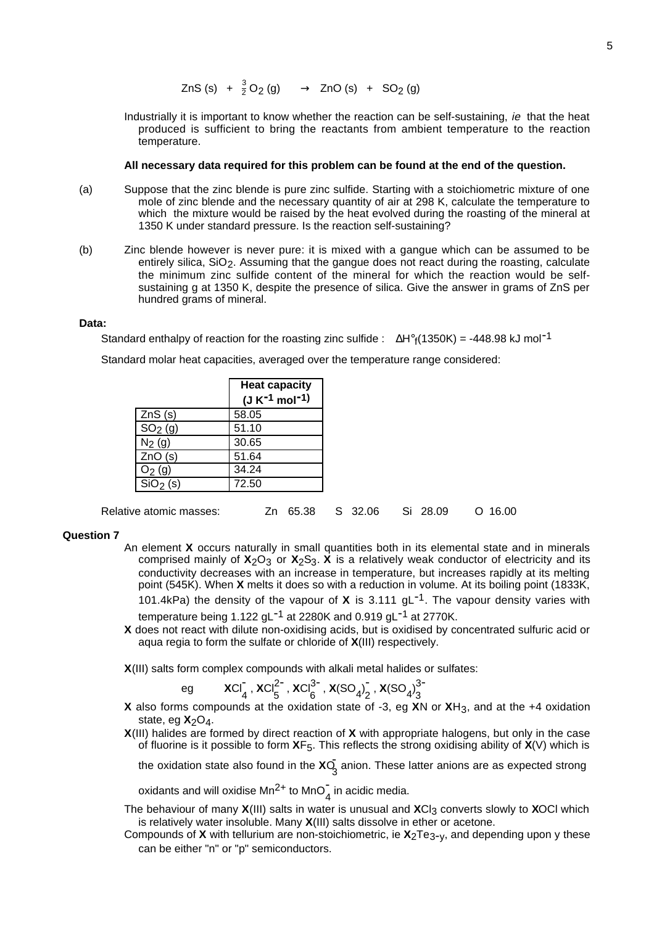$ZnS (s) + \frac{3}{2}O_2(g) \longrightarrow ZnO (s) + SO_2(g)$ 

Industrially it is important to know whether the reaction can be self-sustaining, ie that the heat produced is sufficient to bring the reactants from ambient temperature to the reaction temperature.

#### **All necessary data required for this problem can be found at the end of the question.**

- (a) Suppose that the zinc blende is pure zinc sulfide. Starting with a stoichiometric mixture of one mole of zinc blende and the necessary quantity of air at 298 K, calculate the temperature to which the mixture would be raised by the heat evolved during the roasting of the mineral at 1350 K under standard pressure. Is the reaction self-sustaining?
- (b) Zinc blende however is never pure: it is mixed with a gangue which can be assumed to be entirely silica, SiO<sub>2</sub>. Assuming that the gangue does not react during the roasting, calculate the minimum zinc sulfide content of the mineral for which the reaction would be selfsustaining g at 1350 K, despite the presence of silica. Give the answer in grams of ZnS per hundred grams of mineral.

#### **Data:**

Standard enthalpy of reaction for the roasting zinc sulfide :  $\Delta H^{\circ}$ <sub>f</sub>(1350K) = -448.98 kJ mol<sup>-1</sup>

Standard molar heat capacities, averaged over the temperature range considered:

|                     | <b>Heat capacity</b><br>$(J K^{-1} mol^{-1})$ |
|---------------------|-----------------------------------------------|
| ZnS(s)              | 58.05                                         |
| SO <sub>2</sub> (g) | 51.10                                         |
| $N_2$ (g)           | 30.65                                         |
| ZnO(s)              | 51.64                                         |
| $O_2$ (g)           | 34.24                                         |
| $SiO2$ (s)          | 72.50                                         |

| Relative atomic masses: | Zn 65.38 S 32.06 |  | Si 28.09 | $O$ 16.00 |
|-------------------------|------------------|--|----------|-----------|
|-------------------------|------------------|--|----------|-----------|

#### **Question 7**

- An element **X** occurs naturally in small quantities both in its elemental state and in minerals comprised mainly of  $X_2O_3$  or  $X_2S_3$ .  $X$  is a relatively weak conductor of electricity and its conductivity decreases with an increase in temperature, but increases rapidly at its melting point (545K). When **X** melts it does so with a reduction in volume. At its boiling point (1833K, 101.4kPa) the density of the vapour of **<sup>X</sup>** is 3.111 gL-1. The vapour density varies with temperature being 1.122 gL<sup>-1</sup> at 2280K and 0.919 gL<sup>-1</sup> at 2770K.
- **X** does not react with dilute non-oxidising acids, but is oxidised by concentrated sulfuric acid or aqua regia to form the sulfate or chloride of **X**(III) respectively.

**X**(III) salts form complex compounds with alkali metal halides or sulfates:

eg 
$$
XCI_4^T
$$
,  $XCI_5^{2^-}$ ,  $XCI_6^{3^-}$ ,  $X(SO_4)_2^T$ ,  $X(SO_4)_3^{3^-}$ 

- **X** also forms compounds at the oxidation state of -3, eg **X**N or **X**H3, and at the +4 oxidation state, eg  $X_2O_4$ .
- **X**(III) halides are formed by direct reaction of **X** with appropriate halogens, but only in the case of fluorine is it possible to form **X**F5. This reflects the strong oxidising ability of **X**(V) which is

the oxidation state also found in the **X**O<sub>3</sub> anion. These latter anions are as expected strong

oxidants and will oxidise Mn<sup>2+</sup> to MnO $_4^-$  in acidic media.

- The behaviour of many **X**(III) salts in water is unusual and **X**Cl3 converts slowly to **X**OCl which is relatively water insoluble. Many **X**(III) salts dissolve in ether or acetone.
- Compounds of **X** with tellurium are non-stoichiometric, ie  $X_2Te_{3-y}$ , and depending upon y these can be either "n" or "p" semiconductors.